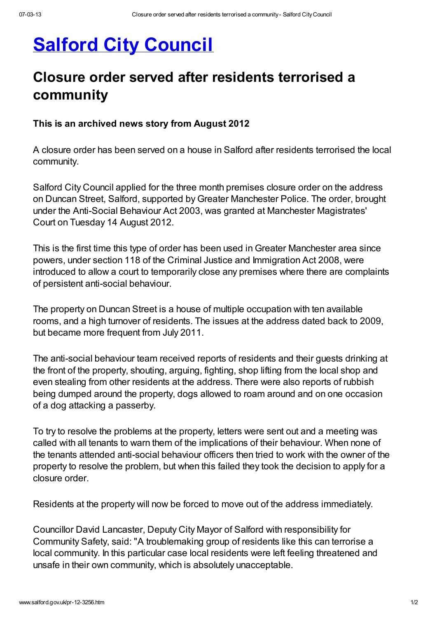## **Salford City [Council](http://www.salford.gov.uk/index.htm)**

## Closure order served after residents terrorised a community

## This is an archived news story from August 2012

A closure order has been served on a house in Salford after residents terrorised the local community.

Salford City Council applied for the three month premises closure order on the address on Duncan Street, Salford, supported by Greater Manchester Police. The order, brought under the Anti-Social Behaviour Act 2003, was granted at Manchester Magistrates' Court on Tuesday 14 August 2012.

This is the first time this type of order has been used in Greater Manchester area since powers, under section 118 of the Criminal Justice and Immigration Act 2008, were introduced to allow a court to temporarily close any premises where there are complaints of persistent anti-social behaviour.

The property on Duncan Street is a house of multiple occupation with ten available rooms, and a high turnover of residents. The issues at the address dated back to 2009, but became more frequent from July 2011.

The anti-social behaviour team received reports of residents and their guests drinking at the front of the property, shouting, arguing, fighting, shop lifting from the local shop and even stealing from other residents at the address. There were also reports of rubbish being dumped around the property, dogs allowed to roam around and on one occasion of a dog attacking a passerby.

To try to resolve the problems at the property, letters were sent out and a meeting was called with all tenants to warn them of the implications of their behaviour. When none of the tenants attended anti-social behaviour officers then tried to work with the owner of the property to resolve the problem, but when this failed they took the decision to apply for a closure order.

Residents at the property will now be forced to move out of the address immediately.

Councillor David Lancaster, Deputy City Mayor of Salford with responsibility for Community Safety, said: "A troublemaking group of residents like this can terrorise a local community. In this particular case local residents were left feeling threatened and unsafe in their own community, which is absolutely unacceptable.